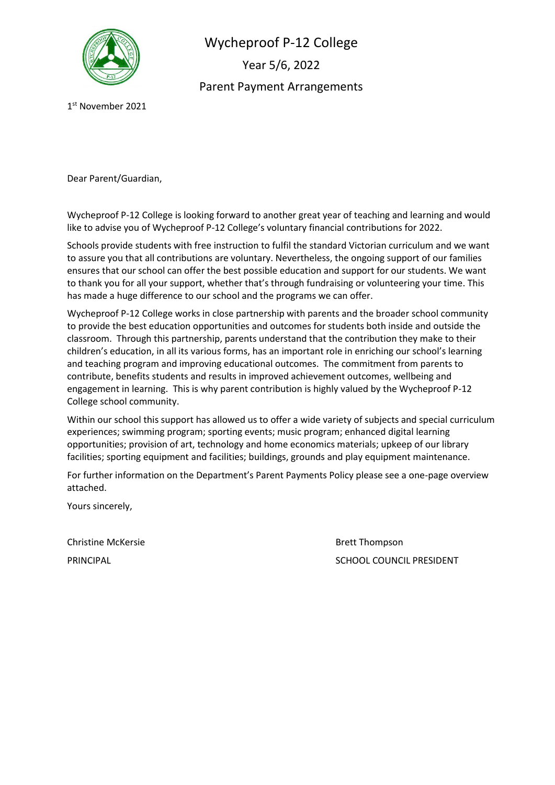

Wycheproof P-12 College Year 5/6, 2022 Parent Payment Arrangements

1 st November 2021

Dear Parent/Guardian,

Wycheproof P-12 College is looking forward to another great year of teaching and learning and would like to advise you of Wycheproof P-12 College's voluntary financial contributions for 2022.

Schools provide students with free instruction to fulfil the standard Victorian curriculum and we want to assure you that all contributions are voluntary. Nevertheless, the ongoing support of our families ensures that our school can offer the best possible education and support for our students. We want to thank you for all your support, whether that's through fundraising or volunteering your time. This has made a huge difference to our school and the programs we can offer.

Wycheproof P-12 College works in close partnership with parents and the broader school community to provide the best education opportunities and outcomes for students both inside and outside the classroom. Through this partnership, parents understand that the contribution they make to their children's education, in all its various forms, has an important role in enriching our school's learning and teaching program and improving educational outcomes. The commitment from parents to contribute, benefits students and results in improved achievement outcomes, wellbeing and engagement in learning. This is why parent contribution is highly valued by the Wycheproof P-12 College school community.

Within our school this support has allowed us to offer a wide variety of subjects and special curriculum experiences; swimming program; sporting events; music program; enhanced digital learning opportunities; provision of art, technology and home economics materials; upkeep of our library facilities; sporting equipment and facilities; buildings, grounds and play equipment maintenance.

For further information on the Department's Parent Payments Policy please see a one-page overview attached.

Yours sincerely,

Christine McKersie **Brett Thompson** 

PRINCIPAL **PRINCIPAL** SCHOOL COUNCIL PRESIDENT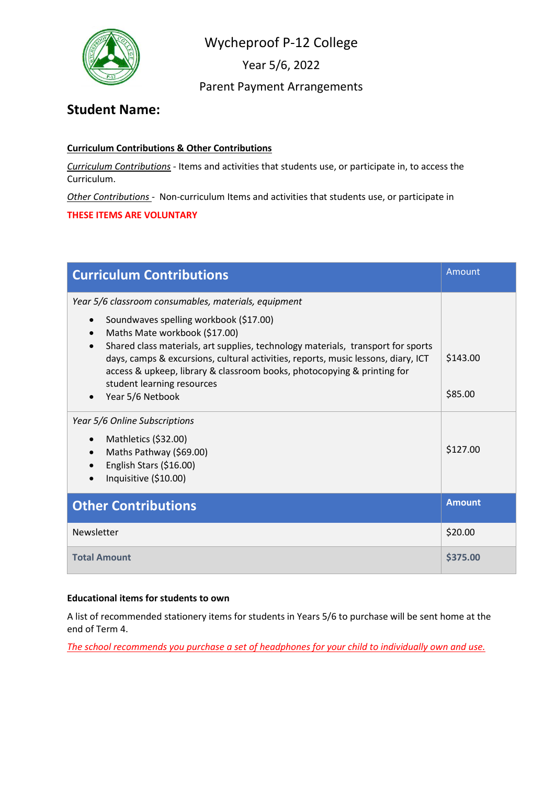

Year 5/6, 2022

## Parent Payment Arrangements

# **Student Name:**

### **Curriculum Contributions & Other Contributions**

*Curriculum Contributions* - Items and activities that students use, or participate in, to access the Curriculum.

*Other Contributions* - Non-curriculum Items and activities that students use, or participate in

#### **THESE ITEMS ARE VOLUNTARY**

| <b>Curriculum Contributions</b>                                                                                                                                                                                                                                                                                                                                                                                                       | Amount              |
|---------------------------------------------------------------------------------------------------------------------------------------------------------------------------------------------------------------------------------------------------------------------------------------------------------------------------------------------------------------------------------------------------------------------------------------|---------------------|
| Year 5/6 classroom consumables, materials, equipment<br>Soundwaves spelling workbook (\$17.00)<br>Maths Mate workbook (\$17.00)<br>Shared class materials, art supplies, technology materials, transport for sports<br>days, camps & excursions, cultural activities, reports, music lessons, diary, ICT<br>access & upkeep, library & classroom books, photocopying & printing for<br>student learning resources<br>Year 5/6 Netbook | \$143.00<br>\$85.00 |
| Year 5/6 Online Subscriptions<br>Mathletics (\$32.00)<br>$\bullet$<br>Maths Pathway (\$69.00)<br>English Stars (\$16.00)<br>Inquisitive (\$10.00)                                                                                                                                                                                                                                                                                     | \$127.00            |
| <b>Other Contributions</b>                                                                                                                                                                                                                                                                                                                                                                                                            | <b>Amount</b>       |
| Newsletter                                                                                                                                                                                                                                                                                                                                                                                                                            | \$20.00             |
| <b>Total Amount</b>                                                                                                                                                                                                                                                                                                                                                                                                                   | \$375.00            |

### **Educational items for students to own**

A list of recommended stationery items for students in Years 5/6 to purchase will be sent home at the end of Term 4.

*The school recommends you purchase a set of headphones for your child to individually own and use.*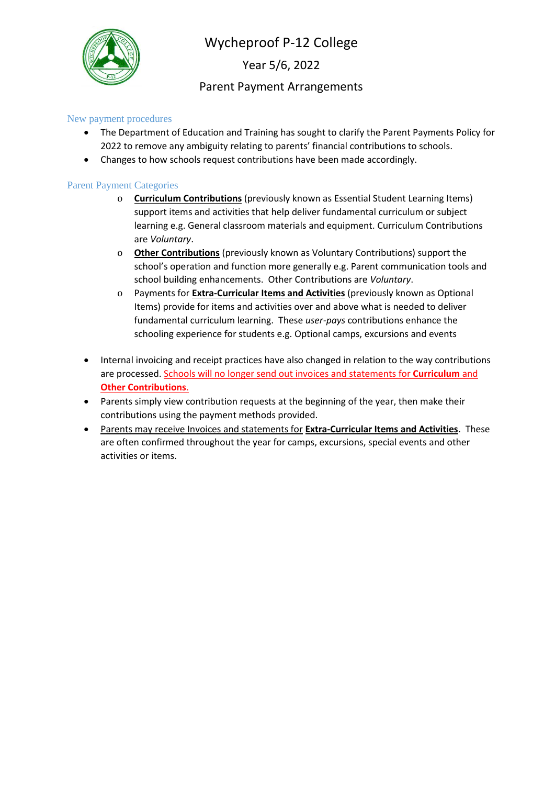

Year 5/6, 2022

## Parent Payment Arrangements

#### New payment procedures

- The Department of Education and Training has sought to clarify the Parent Payments Policy for 2022 to remove any ambiguity relating to parents' financial contributions to schools.
- Changes to how schools request contributions have been made accordingly.

#### Parent Payment Categories

- o **Curriculum Contributions** (previously known as Essential Student Learning Items) support items and activities that help deliver fundamental curriculum or subject learning e.g. General classroom materials and equipment. Curriculum Contributions are *Voluntary*.
- o **Other Contributions** (previously known as Voluntary Contributions) support the school's operation and function more generally e.g. Parent communication tools and school building enhancements. Other Contributions are *Voluntary*.
- o Payments for **Extra-Curricular Items and Activities** (previously known as Optional Items) provide for items and activities over and above what is needed to deliver fundamental curriculum learning. These *user-pays* contributions enhance the schooling experience for students e.g. Optional camps, excursions and events
- Internal invoicing and receipt practices have also changed in relation to the way contributions are processed. Schools will no longer send out invoices and statements for **Curriculum** and **Other Contributions**.
- Parents simply view contribution requests at the beginning of the year, then make their contributions using the payment methods provided.
- Parents may receive Invoices and statements for **Extra-Curricular Items and Activities**. These are often confirmed throughout the year for camps, excursions, special events and other activities or items.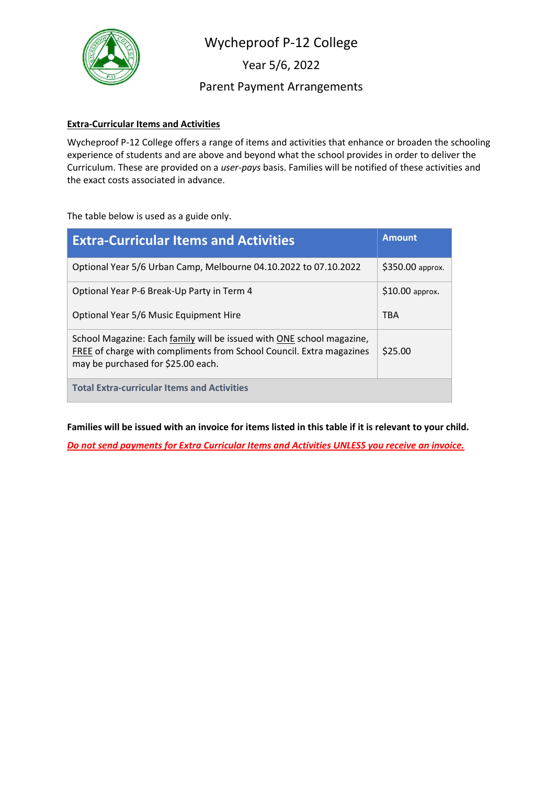

Year 5/6, 2022

Parent Payment Arrangements

#### **Extra-Curricular Items and Activities**

Wycheproof P-12 College offers a range of items and activities that enhance or broaden the schooling experience of students and are above and beyond what the school provides in order to deliver the Curriculum. These are provided on a *user-pays* basis. Families will be notified of these activities and the exact costs associated in advance.

The table below is used as a guide only.

| <b>Extra-Curricular Items and Activities</b>                                                                                                                                        | <b>Amount</b>    |
|-------------------------------------------------------------------------------------------------------------------------------------------------------------------------------------|------------------|
| Optional Year 5/6 Urban Camp, Melbourne 04.10.2022 to 07.10.2022                                                                                                                    | \$350.00 approx. |
| Optional Year P-6 Break-Up Party in Term 4                                                                                                                                          | $$10.00$ approx. |
| Optional Year 5/6 Music Equipment Hire                                                                                                                                              | <b>TBA</b>       |
| School Magazine: Each family will be issued with ONE school magazine,<br>FREE of charge with compliments from School Council. Extra magazines<br>may be purchased for \$25.00 each. | \$25.00          |
| <b>Total Extra-curricular Items and Activities</b>                                                                                                                                  |                  |

**Families will be issued with an invoice for items listed in this table if it is relevant to your child.**

*Do not send payments for Extra Curricular Items and Activities UNLESS you receive an invoice.*